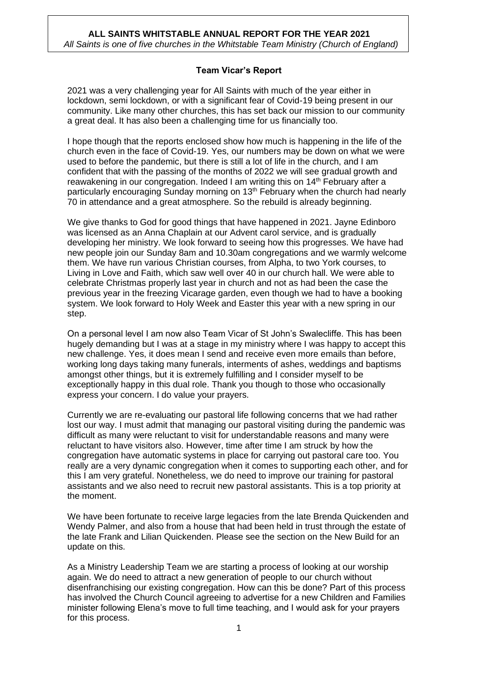## **Team Vicar's Report**

2021 was a very challenging year for All Saints with much of the year either in lockdown, semi lockdown, or with a significant fear of Covid-19 being present in our community. Like many other churches, this has set back our mission to our community a great deal. It has also been a challenging time for us financially too.

I hope though that the reports enclosed show how much is happening in the life of the church even in the face of Covid-19. Yes, our numbers may be down on what we were used to before the pandemic, but there is still a lot of life in the church, and I am confident that with the passing of the months of 2022 we will see gradual growth and reawakening in our congregation. Indeed I am writing this on 14<sup>th</sup> February after a particularly encouraging Sunday morning on 13<sup>th</sup> February when the church had nearly 70 in attendance and a great atmosphere. So the rebuild is already beginning.

We give thanks to God for good things that have happened in 2021. Jayne Edinboro was licensed as an Anna Chaplain at our Advent carol service, and is gradually developing her ministry. We look forward to seeing how this progresses. We have had new people join our Sunday 8am and 10.30am congregations and we warmly welcome them. We have run various Christian courses, from Alpha, to two York courses, to Living in Love and Faith, which saw well over 40 in our church hall. We were able to celebrate Christmas properly last year in church and not as had been the case the previous year in the freezing Vicarage garden, even though we had to have a booking system. We look forward to Holy Week and Easter this year with a new spring in our step.

On a personal level I am now also Team Vicar of St John's Swalecliffe. This has been hugely demanding but I was at a stage in my ministry where I was happy to accept this new challenge. Yes, it does mean I send and receive even more emails than before, working long days taking many funerals, interments of ashes, weddings and baptisms amongst other things, but it is extremely fulfilling and I consider myself to be exceptionally happy in this dual role. Thank you though to those who occasionally express your concern. I do value your prayers.

Currently we are re-evaluating our pastoral life following concerns that we had rather lost our way. I must admit that managing our pastoral visiting during the pandemic was difficult as many were reluctant to visit for understandable reasons and many were reluctant to have visitors also. However, time after time I am struck by how the congregation have automatic systems in place for carrying out pastoral care too. You really are a very dynamic congregation when it comes to supporting each other, and for this I am very grateful. Nonetheless, we do need to improve our training for pastoral assistants and we also need to recruit new pastoral assistants. This is a top priority at the moment.

We have been fortunate to receive large legacies from the late Brenda Quickenden and Wendy Palmer, and also from a house that had been held in trust through the estate of the late Frank and Lilian Quickenden. Please see the section on the New Build for an update on this.

As a Ministry Leadership Team we are starting a process of looking at our worship again. We do need to attract a new generation of people to our church without disenfranchising our existing congregation. How can this be done? Part of this process has involved the Church Council agreeing to advertise for a new Children and Families minister following Elena's move to full time teaching, and I would ask for your prayers for this process.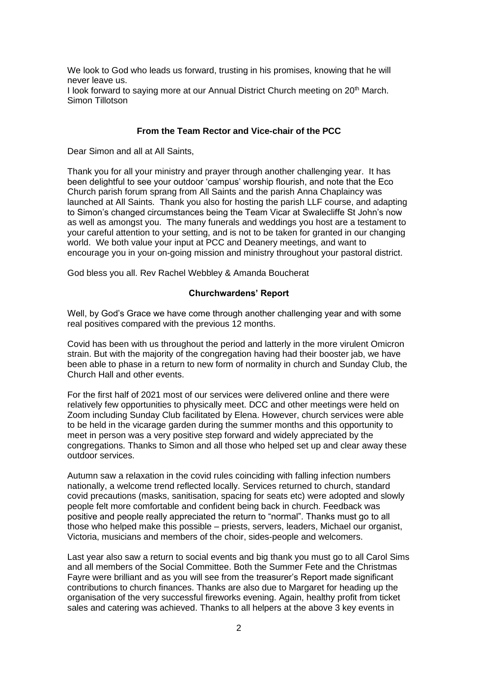We look to God who leads us forward, trusting in his promises, knowing that he will never leave us. I look forward to saying more at our Annual District Church meeting on 20<sup>th</sup> March. Simon Tillotson

### **From the Team Rector and Vice-chair of the PCC**

Dear Simon and all at All Saints,

Thank you for all your ministry and prayer through another challenging year. It has been delightful to see your outdoor 'campus' worship flourish, and note that the Eco Church parish forum sprang from All Saints and the parish Anna Chaplaincy was launched at All Saints. Thank you also for hosting the parish LLF course, and adapting to Simon's changed circumstances being the Team Vicar at Swalecliffe St John's now as well as amongst you. The many funerals and weddings you host are a testament to your careful attention to your setting, and is not to be taken for granted in our changing world. We both value your input at PCC and Deanery meetings, and want to encourage you in your on-going mission and ministry throughout your pastoral district.

God bless you all. Rev Rachel Webbley & Amanda Boucherat

#### **Churchwardens' Report**

Well, by God's Grace we have come through another challenging year and with some real positives compared with the previous 12 months.

Covid has been with us throughout the period and latterly in the more virulent Omicron strain. But with the majority of the congregation having had their booster jab, we have been able to phase in a return to new form of normality in church and Sunday Club, the Church Hall and other events.

For the first half of 2021 most of our services were delivered online and there were relatively few opportunities to physically meet. DCC and other meetings were held on Zoom including Sunday Club facilitated by Elena. However, church services were able to be held in the vicarage garden during the summer months and this opportunity to meet in person was a very positive step forward and widely appreciated by the congregations. Thanks to Simon and all those who helped set up and clear away these outdoor services.

Autumn saw a relaxation in the covid rules coinciding with falling infection numbers nationally, a welcome trend reflected locally. Services returned to church, standard covid precautions (masks, sanitisation, spacing for seats etc) were adopted and slowly people felt more comfortable and confident being back in church. Feedback was positive and people really appreciated the return to "normal". Thanks must go to all those who helped make this possible – priests, servers, leaders, Michael our organist, Victoria, musicians and members of the choir, sides-people and welcomers.

Last year also saw a return to social events and big thank you must go to all Carol Sims and all members of the Social Committee. Both the Summer Fete and the Christmas Fayre were brilliant and as you will see from the treasurer's Report made significant contributions to church finances. Thanks are also due to Margaret for heading up the organisation of the very successful fireworks evening. Again, healthy profit from ticket sales and catering was achieved. Thanks to all helpers at the above 3 key events in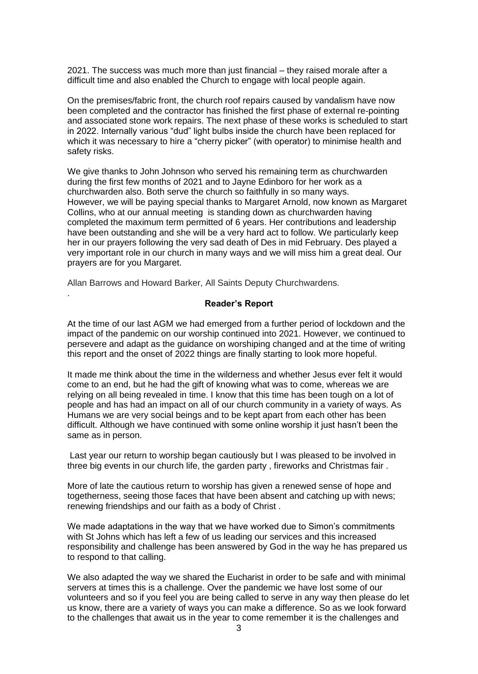2021. The success was much more than just financial – they raised morale after a difficult time and also enabled the Church to engage with local people again.

On the premises/fabric front, the church roof repairs caused by vandalism have now been completed and the contractor has finished the first phase of external re-pointing and associated stone work repairs. The next phase of these works is scheduled to start in 2022. Internally various "dud" light bulbs inside the church have been replaced for which it was necessary to hire a "cherry picker" (with operator) to minimise health and safety risks.

We give thanks to John Johnson who served his remaining term as churchwarden during the first few months of 2021 and to Jayne Edinboro for her work as a churchwarden also. Both serve the church so faithfully in so many ways. However, we will be paying special thanks to Margaret Arnold, now known as Margaret Collins, who at our annual meeting is standing down as churchwarden having completed the maximum term permitted of 6 years. Her contributions and leadership have been outstanding and she will be a very hard act to follow. We particularly keep her in our prayers following the very sad death of Des in mid February. Des played a very important role in our church in many ways and we will miss him a great deal. Our prayers are for you Margaret.

Allan Barrows and Howard Barker, All Saints Deputy Churchwardens.

.

#### **Reader's Report**

At the time of our last AGM we had emerged from a further period of lockdown and the impact of the pandemic on our worship continued into 2021. However, we continued to persevere and adapt as the guidance on worshiping changed and at the time of writing this report and the onset of 2022 things are finally starting to look more hopeful.

It made me think about the time in the wilderness and whether Jesus ever felt it would come to an end, but he had the gift of knowing what was to come, whereas we are relying on all being revealed in time. I know that this time has been tough on a lot of people and has had an impact on all of our church community in a variety of ways. As Humans we are very social beings and to be kept apart from each other has been difficult. Although we have continued with some online worship it just hasn't been the same as in person.

Last year our return to worship began cautiously but I was pleased to be involved in three big events in our church life, the garden party , fireworks and Christmas fair .

More of late the cautious return to worship has given a renewed sense of hope and togetherness, seeing those faces that have been absent and catching up with news; renewing friendships and our faith as a body of Christ .

We made adaptations in the way that we have worked due to Simon's commitments with St Johns which has left a few of us leading our services and this increased responsibility and challenge has been answered by God in the way he has prepared us to respond to that calling.

We also adapted the way we shared the Eucharist in order to be safe and with minimal servers at times this is a challenge. Over the pandemic we have lost some of our volunteers and so if you feel you are being called to serve in any way then please do let us know, there are a variety of ways you can make a difference. So as we look forward to the challenges that await us in the year to come remember it is the challenges and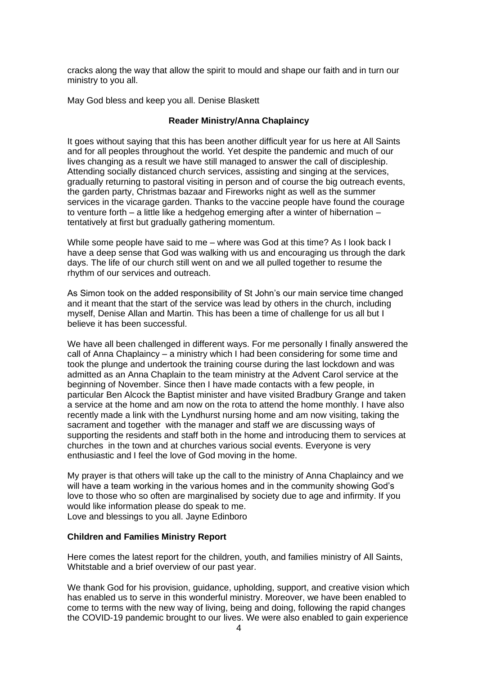cracks along the way that allow the spirit to mould and shape our faith and in turn our ministry to you all.

May God bless and keep you all. Denise Blaskett

#### **Reader Ministry/Anna Chaplaincy**

It goes without saying that this has been another difficult year for us here at All Saints and for all peoples throughout the world. Yet despite the pandemic and much of our lives changing as a result we have still managed to answer the call of discipleship. Attending socially distanced church services, assisting and singing at the services, gradually returning to pastoral visiting in person and of course the big outreach events, the garden party, Christmas bazaar and Fireworks night as well as the summer services in the vicarage garden. Thanks to the vaccine people have found the courage to venture forth – a little like a hedgehog emerging after a winter of hibernation – tentatively at first but gradually gathering momentum.

While some people have said to me – where was God at this time? As I look back I have a deep sense that God was walking with us and encouraging us through the dark days. The life of our church still went on and we all pulled together to resume the rhythm of our services and outreach.

As Simon took on the added responsibility of St John's our main service time changed and it meant that the start of the service was lead by others in the church, including myself, Denise Allan and Martin. This has been a time of challenge for us all but I believe it has been successful.

We have all been challenged in different ways. For me personally I finally answered the call of Anna Chaplaincy – a ministry which I had been considering for some time and took the plunge and undertook the training course during the last lockdown and was admitted as an Anna Chaplain to the team ministry at the Advent Carol service at the beginning of November. Since then I have made contacts with a few people, in particular Ben Alcock the Baptist minister and have visited Bradbury Grange and taken a service at the home and am now on the rota to attend the home monthly. I have also recently made a link with the Lyndhurst nursing home and am now visiting, taking the sacrament and together with the manager and staff we are discussing ways of supporting the residents and staff both in the home and introducing them to services at churches in the town and at churches various social events. Everyone is very enthusiastic and I feel the love of God moving in the home.

My prayer is that others will take up the call to the ministry of Anna Chaplaincy and we will have a team working in the various homes and in the community showing God's love to those who so often are marginalised by society due to age and infirmity. If you would like information please do speak to me. Love and blessings to you all. Jayne Edinboro

#### **Children and Families Ministry Report**

Here comes the latest report for the children, youth, and families ministry of All Saints, Whitstable and a brief overview of our past year.

We thank God for his provision, guidance, upholding, support, and creative vision which has enabled us to serve in this wonderful ministry. Moreover, we have been enabled to come to terms with the new way of living, being and doing, following the rapid changes the COVID-19 pandemic brought to our lives. We were also enabled to gain experience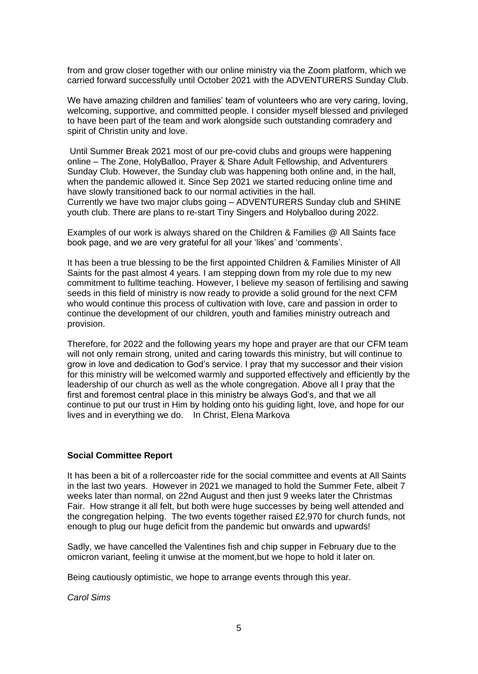from and grow closer together with our online ministry via the Zoom platform, which we carried forward successfully until October 2021 with the ADVENTURERS Sunday Club.

We have amazing children and families' team of volunteers who are very caring, loving, welcoming, supportive, and committed people. I consider myself blessed and privileged to have been part of the team and work alongside such outstanding comradery and spirit of Christin unity and love.

Until Summer Break 2021 most of our pre-covid clubs and groups were happening online – The Zone, HolyBalloo, Prayer & Share Adult Fellowship, and Adventurers Sunday Club. However, the Sunday club was happening both online and, in the hall, when the pandemic allowed it. Since Sep 2021 we started reducing online time and have slowly transitioned back to our normal activities in the hall. Currently we have two major clubs going – ADVENTURERS Sunday club and SHINE youth club. There are plans to re-start Tiny Singers and Holyballoo during 2022.

Examples of our work is always shared on the Children & Families @ All Saints face book page, and we are very grateful for all your 'likes' and 'comments'.

It has been a true blessing to be the first appointed Children & Families Minister of All Saints for the past almost 4 years. I am stepping down from my role due to my new commitment to fulltime teaching. However, I believe my season of fertilising and sawing seeds in this field of ministry is now ready to provide a solid ground for the next CFM who would continue this process of cultivation with love, care and passion in order to continue the development of our children, youth and families ministry outreach and provision.

Therefore, for 2022 and the following years my hope and prayer are that our CFM team will not only remain strong, united and caring towards this ministry, but will continue to grow in love and dedication to God's service. I pray that my successor and their vision for this ministry will be welcomed warmly and supported effectively and efficiently by the leadership of our church as well as the whole congregation. Above all I pray that the first and foremost central place in this ministry be always God's, and that we all continue to put our trust in Him by holding onto his guiding light, love, and hope for our lives and in everything we do. In Christ, Elena Markova

#### **Social Committee Report**

It has been a bit of a rollercoaster ride for the social committee and events at All Saints in the last two years. However in 2021 we managed to hold the Summer Fete, albeit 7 weeks later than normal, on 22nd August and then just 9 weeks later the Christmas Fair. How strange it all felt, but both were huge successes by being well attended and the congregation helping. The two events together raised £2,970 for church funds, not enough to plug our huge deficit from the pandemic but onwards and upwards!

Sadly, we have cancelled the Valentines fish and chip supper in February due to the omicron variant, feeling it unwise at the moment,but we hope to hold it later on.

Being cautiously optimistic, we hope to arrange events through this year.

*Carol Sims*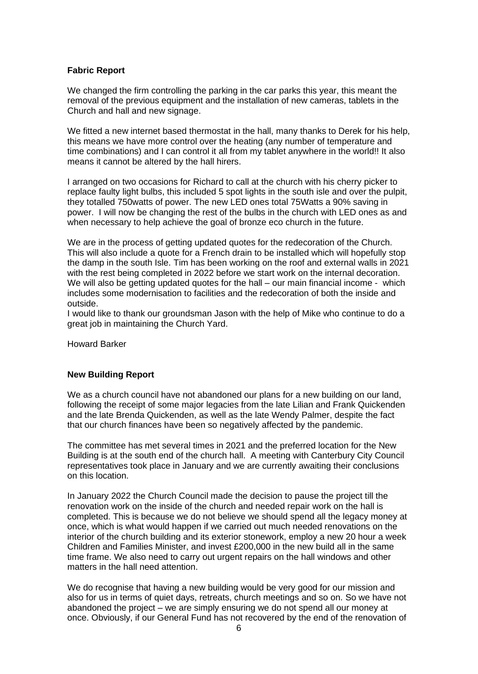## **Fabric Report**

We changed the firm controlling the parking in the car parks this year, this meant the removal of the previous equipment and the installation of new cameras, tablets in the Church and hall and new signage.

We fitted a new internet based thermostat in the hall, many thanks to Derek for his help, this means we have more control over the heating (any number of temperature and time combinations) and I can control it all from my tablet anywhere in the world!! It also means it cannot be altered by the hall hirers.

I arranged on two occasions for Richard to call at the church with his cherry picker to replace faulty light bulbs, this included 5 spot lights in the south isle and over the pulpit, they totalled 750watts of power. The new LED ones total 75Watts a 90% saving in power. I will now be changing the rest of the bulbs in the church with LED ones as and when necessary to help achieve the goal of bronze eco church in the future.

We are in the process of getting updated quotes for the redecoration of the Church. This will also include a quote for a French drain to be installed which will hopefully stop the damp in the south Isle. Tim has been working on the roof and external walls in 2021 with the rest being completed in 2022 before we start work on the internal decoration. We will also be getting updated quotes for the hall – our main financial income - which includes some modernisation to facilities and the redecoration of both the inside and outside.

I would like to thank our groundsman Jason with the help of Mike who continue to do a great job in maintaining the Church Yard.

Howard Barker

#### **New Building Report**

We as a church council have not abandoned our plans for a new building on our land, following the receipt of some major legacies from the late Lilian and Frank Quickenden and the late Brenda Quickenden, as well as the late Wendy Palmer, despite the fact that our church finances have been so negatively affected by the pandemic.

The committee has met several times in 2021 and the preferred location for the New Building is at the south end of the church hall. A meeting with Canterbury City Council representatives took place in January and we are currently awaiting their conclusions on this location.

In January 2022 the Church Council made the decision to pause the project till the renovation work on the inside of the church and needed repair work on the hall is completed. This is because we do not believe we should spend all the legacy money at once, which is what would happen if we carried out much needed renovations on the interior of the church building and its exterior stonework, employ a new 20 hour a week Children and Families Minister, and invest £200,000 in the new build all in the same time frame. We also need to carry out urgent repairs on the hall windows and other matters in the hall need attention.

We do recognise that having a new building would be very good for our mission and also for us in terms of quiet days, retreats, church meetings and so on. So we have not abandoned the project – we are simply ensuring we do not spend all our money at once. Obviously, if our General Fund has not recovered by the end of the renovation of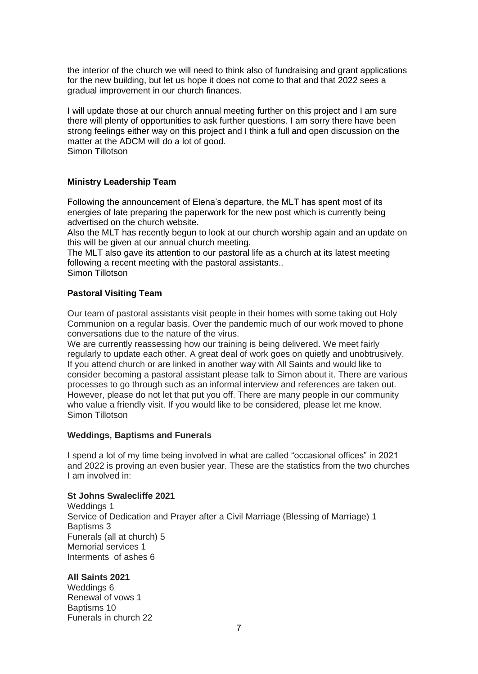the interior of the church we will need to think also of fundraising and grant applications for the new building, but let us hope it does not come to that and that 2022 sees a gradual improvement in our church finances.

I will update those at our church annual meeting further on this project and I am sure there will plenty of opportunities to ask further questions. I am sorry there have been strong feelings either way on this project and I think a full and open discussion on the matter at the ADCM will do a lot of good. Simon Tillotson

### **Ministry Leadership Team**

Following the announcement of Elena's departure, the MLT has spent most of its energies of late preparing the paperwork for the new post which is currently being advertised on the church website.

Also the MLT has recently begun to look at our church worship again and an update on this will be given at our annual church meeting.

The MLT also gave its attention to our pastoral life as a church at its latest meeting following a recent meeting with the pastoral assistants..

Simon Tillotson

### **Pastoral Visiting Team**

Our team of pastoral assistants visit people in their homes with some taking out Holy Communion on a regular basis. Over the pandemic much of our work moved to phone conversations due to the nature of the virus.

We are currently reassessing how our training is being delivered. We meet fairly regularly to update each other. A great deal of work goes on quietly and unobtrusively. If you attend church or are linked in another way with All Saints and would like to consider becoming a pastoral assistant please talk to Simon about it. There are various processes to go through such as an informal interview and references are taken out. However, please do not let that put you off. There are many people in our community who value a friendly visit. If you would like to be considered, please let me know. Simon Tillotson

#### **Weddings, Baptisms and Funerals**

I spend a lot of my time being involved in what are called "occasional offices" in 2021 and 2022 is proving an even busier year. These are the statistics from the two churches I am involved in:

#### **St Johns Swalecliffe 2021**

Weddings 1 Service of Dedication and Prayer after a Civil Marriage (Blessing of Marriage) 1 Baptisms 3 Funerals (all at church) 5 Memorial services 1 Interments of ashes 6

#### **All Saints 2021**

Weddings 6 Renewal of vows 1 Baptisms 10 Funerals in church 22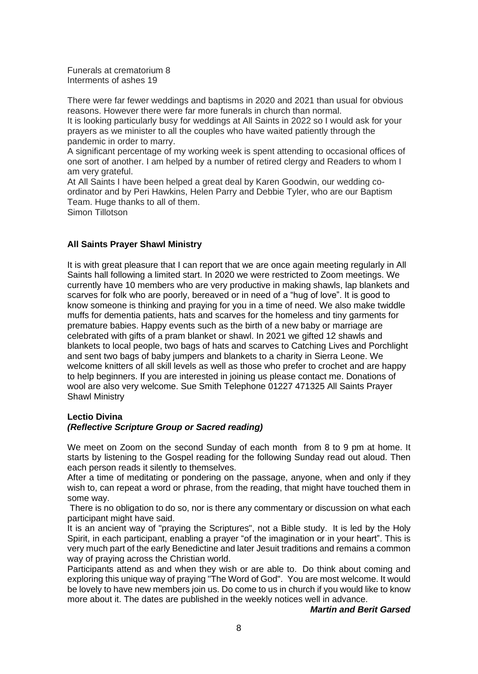Funerals at crematorium 8 Interments of ashes 19

There were far fewer weddings and baptisms in 2020 and 2021 than usual for obvious reasons. However there were far more funerals in church than normal. It is looking particularly busy for weddings at All Saints in 2022 so I would ask for your prayers as we minister to all the couples who have waited patiently through the pandemic in order to marry.

A significant percentage of my working week is spent attending to occasional offices of one sort of another. I am helped by a number of retired clergy and Readers to whom I am very grateful.

At All Saints I have been helped a great deal by Karen Goodwin, our wedding coordinator and by Peri Hawkins, Helen Parry and Debbie Tyler, who are our Baptism Team. Huge thanks to all of them. Simon Tillotson

### **All Saints Prayer Shawl Ministry**

It is with great pleasure that I can report that we are once again meeting regularly in All Saints hall following a limited start. In 2020 we were restricted to Zoom meetings. We currently have 10 members who are very productive in making shawls, lap blankets and scarves for folk who are poorly, bereaved or in need of a "hug of love". It is good to know someone is thinking and praying for you in a time of need. We also make twiddle muffs for dementia patients, hats and scarves for the homeless and tiny garments for premature babies. Happy events such as the birth of a new baby or marriage are celebrated with gifts of a pram blanket or shawl. In 2021 we gifted 12 shawls and blankets to local people, two bags of hats and scarves to Catching Lives and Porchlight and sent two bags of baby jumpers and blankets to a charity in Sierra Leone. We welcome knitters of all skill levels as well as those who prefer to crochet and are happy to help beginners. If you are interested in joining us please contact me. Donations of wool are also very welcome. Sue Smith Telephone 01227 471325 All Saints Prayer Shawl Ministry

#### **Lectio Divina**

#### *(Reflective Scripture Group or Sacred reading)*

We meet on Zoom on the second Sunday of each month from 8 to 9 pm at home. It starts by listening to the Gospel reading for the following Sunday read out aloud. Then each person reads it silently to themselves.

After a time of meditating or pondering on the passage, anyone, when and only if they wish to, can repeat a word or phrase, from the reading, that might have touched them in some way.

There is no obligation to do so, nor is there any commentary or discussion on what each participant might have said.

It is an ancient way of "praying the Scriptures", not a Bible study. It is led by the Holy Spirit, in each participant, enabling a prayer "of the imagination or in your heart". This is very much part of the early Benedictine and later Jesuit traditions and remains a common way of praying across the Christian world.

Participants attend as and when they wish or are able to. Do think about coming and exploring this unique way of praying "The Word of God". You are most welcome. It would be lovely to have new members join us. Do come to us in church if you would like to know more about it. The dates are published in the weekly notices well in advance.

## *Martin and Berit Garsed*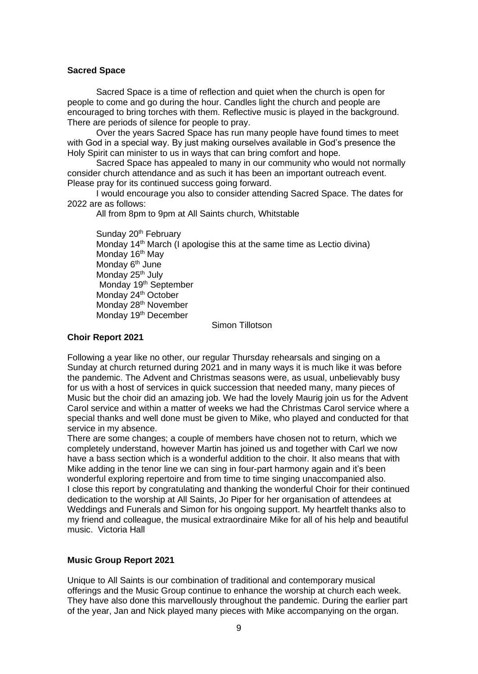### **Sacred Space**

Sacred Space is a time of reflection and quiet when the church is open for people to come and go during the hour. Candles light the church and people are encouraged to bring torches with them. Reflective music is played in the background. There are periods of silence for people to pray.

Over the years Sacred Space has run many people have found times to meet with God in a special way. By just making ourselves available in God's presence the Holy Spirit can minister to us in ways that can bring comfort and hope.

Sacred Space has appealed to many in our community who would not normally consider church attendance and as such it has been an important outreach event. Please pray for its continued success going forward.

I would encourage you also to consider attending Sacred Space. The dates for 2022 are as follows:

All from 8pm to 9pm at All Saints church, Whitstable

Sunday 20<sup>th</sup> February Monday  $14<sup>th</sup>$  March (I apologise this at the same time as Lectio divina) Monday 16<sup>th</sup> May Monday 6<sup>th</sup> June Monday 25<sup>th</sup> July Monday 19<sup>th</sup> September Monday 24<sup>th</sup> October Monday 28<sup>th</sup> November Monday 19<sup>th</sup> December

Simon Tillotson

### **Choir Report 2021**

Following a year like no other, our regular Thursday rehearsals and singing on a Sunday at church returned during 2021 and in many ways it is much like it was before the pandemic. The Advent and Christmas seasons were, as usual, unbelievably busy for us with a host of services in quick succession that needed many, many pieces of Music but the choir did an amazing job. We had the lovely Maurig join us for the Advent Carol service and within a matter of weeks we had the Christmas Carol service where a special thanks and well done must be given to Mike, who played and conducted for that service in my absence.

There are some changes; a couple of members have chosen not to return, which we completely understand, however Martin has joined us and together with Carl we now have a bass section which is a wonderful addition to the choir. It also means that with Mike adding in the tenor line we can sing in four-part harmony again and it's been wonderful exploring repertoire and from time to time singing unaccompanied also. I close this report by congratulating and thanking the wonderful Choir for their continued dedication to the worship at All Saints, Jo Piper for her organisation of attendees at Weddings and Funerals and Simon for his ongoing support. My heartfelt thanks also to my friend and colleague, the musical extraordinaire Mike for all of his help and beautiful music. Victoria Hall

## **Music Group Report 2021**

Unique to All Saints is our combination of traditional and contemporary musical offerings and the Music Group continue to enhance the worship at church each week. They have also done this marvellously throughout the pandemic. During the earlier part of the year, Jan and Nick played many pieces with Mike accompanying on the organ.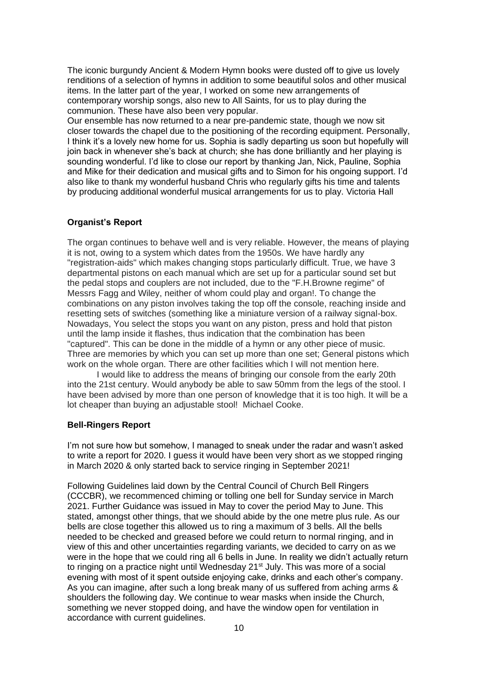The iconic burgundy Ancient & Modern Hymn books were dusted off to give us lovely renditions of a selection of hymns in addition to some beautiful solos and other musical items. In the latter part of the year, I worked on some new arrangements of contemporary worship songs, also new to All Saints, for us to play during the communion. These have also been very popular.

Our ensemble has now returned to a near pre-pandemic state, though we now sit closer towards the chapel due to the positioning of the recording equipment. Personally, I think it's a lovely new home for us. Sophia is sadly departing us soon but hopefully will join back in whenever she's back at church; she has done brilliantly and her playing is sounding wonderful. I'd like to close our report by thanking Jan, Nick, Pauline, Sophia and Mike for their dedication and musical gifts and to Simon for his ongoing support. I'd also like to thank my wonderful husband Chris who regularly gifts his time and talents by producing additional wonderful musical arrangements for us to play. Victoria Hall

## **Organist's Report**

The organ continues to behave well and is very reliable. However, the means of playing it is not, owing to a system which dates from the 1950s. We have hardly any "registration-aids" which makes changing stops particularly difficult. True, we have 3 departmental pistons on each manual which are set up for a particular sound set but the pedal stops and couplers are not included, due to the "F.H.Browne regime" of Messrs Fagg and Wiley, neither of whom could play and organ!. To change the combinations on any piston involves taking the top off the console, reaching inside and resetting sets of switches (something like a miniature version of a railway signal-box. Nowadays, You select the stops you want on any piston, press and hold that piston until the lamp inside it flashes, thus indication that the combination has been "captured". This can be done in the middle of a hymn or any other piece of music. Three are memories by which you can set up more than one set; General pistons which work on the whole organ. There are other facilities which I will not mention here.

I would like to address the means of bringing our console from the early 20th into the 21st century. Would anybody be able to saw 50mm from the legs of the stool. I have been advised by more than one person of knowledge that it is too high. It will be a lot cheaper than buying an adjustable stool! Michael Cooke.

## **Bell-Ringers Report**

I'm not sure how but somehow, I managed to sneak under the radar and wasn't asked to write a report for 2020. I guess it would have been very short as we stopped ringing in March 2020 & only started back to service ringing in September 2021!

Following Guidelines laid down by the Central Council of Church Bell Ringers (CCCBR), we recommenced chiming or tolling one bell for Sunday service in March 2021. Further Guidance was issued in May to cover the period May to June. This stated, amongst other things, that we should abide by the one metre plus rule. As our bells are close together this allowed us to ring a maximum of 3 bells. All the bells needed to be checked and greased before we could return to normal ringing, and in view of this and other uncertainties regarding variants, we decided to carry on as we were in the hope that we could ring all 6 bells in June. In reality we didn't actually return to ringing on a practice night until Wednesday 21<sup>st</sup> July. This was more of a social evening with most of it spent outside enjoying cake, drinks and each other's company. As you can imagine, after such a long break many of us suffered from aching arms & shoulders the following day. We continue to wear masks when inside the Church, something we never stopped doing, and have the window open for ventilation in accordance with current guidelines.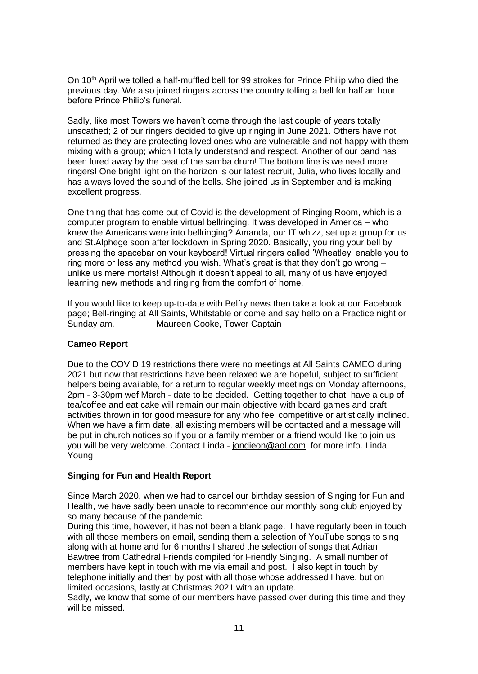On 10<sup>th</sup> April we tolled a half-muffled bell for 99 strokes for Prince Philip who died the previous day. We also joined ringers across the country tolling a bell for half an hour before Prince Philip's funeral.

Sadly, like most Towers we haven't come through the last couple of years totally unscathed; 2 of our ringers decided to give up ringing in June 2021. Others have not returned as they are protecting loved ones who are vulnerable and not happy with them mixing with a group; which I totally understand and respect. Another of our band has been lured away by the beat of the samba drum! The bottom line is we need more ringers! One bright light on the horizon is our latest recruit, Julia, who lives locally and has always loved the sound of the bells. She joined us in September and is making excellent progress.

One thing that has come out of Covid is the development of Ringing Room, which is a computer program to enable virtual bellringing. It was developed in America – who knew the Americans were into bellringing? Amanda, our IT whizz, set up a group for us and St.Alphege soon after lockdown in Spring 2020. Basically, you ring your bell by pressing the spacebar on your keyboard! Virtual ringers called 'Wheatley' enable you to ring more or less any method you wish. What's great is that they don't go wrong – unlike us mere mortals! Although it doesn't appeal to all, many of us have enjoyed learning new methods and ringing from the comfort of home.

If you would like to keep up-to-date with Belfry news then take a look at our Facebook page; Bell-ringing at All Saints, Whitstable or come and say hello on a Practice night or Sunday am. Maureen Cooke, Tower Captain

## **Cameo Report**

Due to the COVID 19 restrictions there were no meetings at All Saints CAMEO during 2021 but now that restrictions have been relaxed we are hopeful, subject to sufficient helpers being available, for a return to regular weekly meetings on Monday afternoons, 2pm - 3-30pm wef March - date to be decided. Getting together to chat, have a cup of tea/coffee and eat cake will remain our main objective with board games and craft activities thrown in for good measure for any who feel competitive or artistically inclined. When we have a firm date, all existing members will be contacted and a message will be put in church notices so if you or a family member or a friend would like to join us you will be very welcome. Contact Linda - [jondieon@aol.com](mailto:jondieon@aol.com) for more info. Linda Young

## **Singing for Fun and Health Report**

Since March 2020, when we had to cancel our birthday session of Singing for Fun and Health, we have sadly been unable to recommence our monthly song club enjoyed by so many because of the pandemic.

During this time, however, it has not been a blank page. I have regularly been in touch with all those members on email, sending them a selection of YouTube songs to sing along with at home and for 6 months I shared the selection of songs that Adrian Bawtree from Cathedral Friends compiled for Friendly Singing. A small number of members have kept in touch with me via email and post. I also kept in touch by telephone initially and then by post with all those whose addressed I have, but on limited occasions, lastly at Christmas 2021 with an update.

Sadly, we know that some of our members have passed over during this time and they will be missed.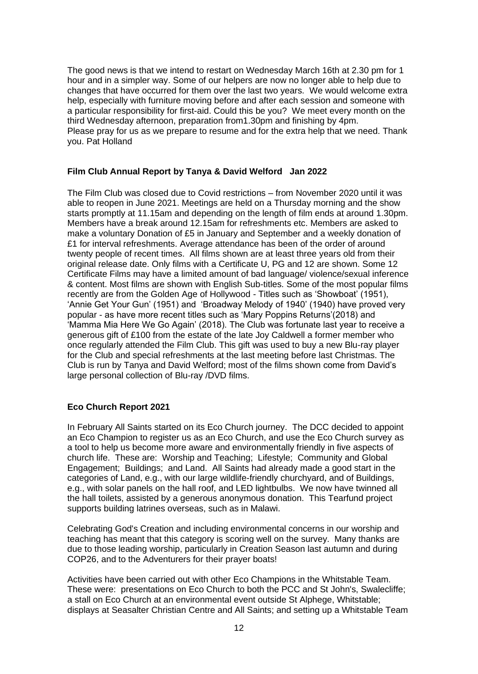The good news is that we intend to restart on Wednesday March 16th at 2.30 pm for 1 hour and in a simpler way. Some of our helpers are now no longer able to help due to changes that have occurred for them over the last two years. We would welcome extra help, especially with furniture moving before and after each session and someone with a particular responsibility for first-aid. Could this be you? We meet every month on the third Wednesday afternoon, preparation from1.30pm and finishing by 4pm. Please pray for us as we prepare to resume and for the extra help that we need. Thank you. Pat Holland

### **Film Club Annual Report by Tanya & David Welford Jan 2022**

The Film Club was closed due to Covid restrictions – from November 2020 until it was able to reopen in June 2021. Meetings are held on a Thursday morning and the show starts promptly at 11.15am and depending on the length of film ends at around 1.30pm. Members have a break around 12.15am for refreshments etc. Members are asked to make a voluntary Donation of £5 in January and September and a weekly donation of £1 for interval refreshments. Average attendance has been of the order of around twenty people of recent times. All films shown are at least three years old from their original release date. Only films with a Certificate U, PG and 12 are shown. Some 12 Certificate Films may have a limited amount of bad language/ violence/sexual inference & content. Most films are shown with English Sub-titles. Some of the most popular films recently are from the Golden Age of Hollywood - Titles such as 'Showboat' (1951), 'Annie Get Your Gun' (1951) and 'Broadway Melody of 1940' (1940) have proved very popular - as have more recent titles such as 'Mary Poppins Returns'(2018) and 'Mamma Mia Here We Go Again' (2018). The Club was fortunate last year to receive a generous gift of £100 from the estate of the late Joy Caldwell a former member who once regularly attended the Film Club. This gift was used to buy a new Blu-ray player for the Club and special refreshments at the last meeting before last Christmas. The Club is run by Tanya and David Welford; most of the films shown come from David's large personal collection of Blu-ray /DVD films.

## **Eco Church Report 2021**

In February All Saints started on its Eco Church journey. The DCC decided to appoint an Eco Champion to register us as an Eco Church, and use the Eco Church survey as a tool to help us become more aware and environmentally friendly in five aspects of church life. These are: Worship and Teaching; Lifestyle; Community and Global Engagement; Buildings; and Land. All Saints had already made a good start in the categories of Land, e.g., with our large wildlife-friendly churchyard, and of Buildings, e.g., with solar panels on the hall roof, and LED lightbulbs. We now have twinned all the hall toilets, assisted by a generous anonymous donation. This Tearfund project supports building latrines overseas, such as in Malawi.

Celebrating God's Creation and including environmental concerns in our worship and teaching has meant that this category is scoring well on the survey. Many thanks are due to those leading worship, particularly in Creation Season last autumn and during COP26, and to the Adventurers for their prayer boats!

Activities have been carried out with other Eco Champions in the Whitstable Team. These were: presentations on Eco Church to both the PCC and St John's, Swalecliffe; a stall on Eco Church at an environmental event outside St Alphege, Whitstable; displays at Seasalter Christian Centre and All Saints; and setting up a Whitstable Team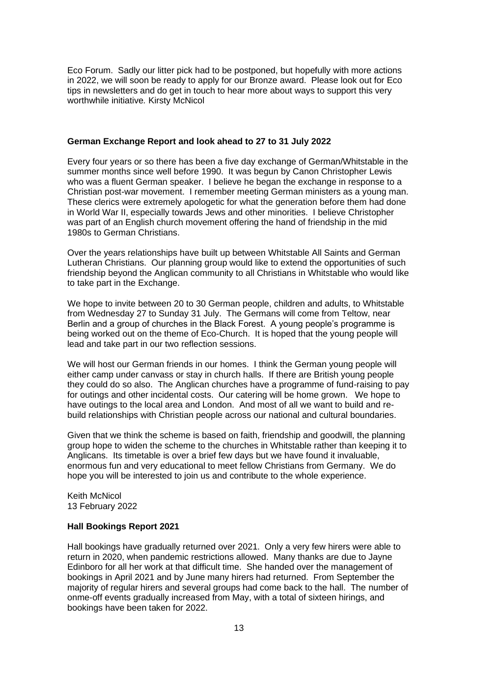Eco Forum. Sadly our litter pick had to be postponed, but hopefully with more actions in 2022, we will soon be ready to apply for our Bronze award. Please look out for Eco tips in newsletters and do get in touch to hear more about ways to support this very worthwhile initiative*.* Kirsty McNicol

#### **German Exchange Report and look ahead to 27 to 31 July 2022**

Every four years or so there has been a five day exchange of German/Whitstable in the summer months since well before 1990. It was begun by Canon Christopher Lewis who was a fluent German speaker. I believe he began the exchange in response to a Christian post-war movement. I remember meeting German ministers as a young man. These clerics were extremely apologetic for what the generation before them had done in World War II, especially towards Jews and other minorities. I believe Christopher was part of an English church movement offering the hand of friendship in the mid 1980s to German Christians.

Over the years relationships have built up between Whitstable All Saints and German Lutheran Christians. Our planning group would like to extend the opportunities of such friendship beyond the Anglican community to all Christians in Whitstable who would like to take part in the Exchange.

We hope to invite between 20 to 30 German people, children and adults, to Whitstable from Wednesday 27 to Sunday 31 July. The Germans will come from Teltow, near Berlin and a group of churches in the Black Forest. A young people's programme is being worked out on the theme of Eco-Church. It is hoped that the young people will lead and take part in our two reflection sessions.

We will host our German friends in our homes. I think the German young people will either camp under canvass or stay in church halls. If there are British young people they could do so also. The Anglican churches have a programme of fund-raising to pay for outings and other incidental costs. Our catering will be home grown. We hope to have outings to the local area and London. And most of all we want to build and rebuild relationships with Christian people across our national and cultural boundaries.

Given that we think the scheme is based on faith, friendship and goodwill, the planning group hope to widen the scheme to the churches in Whitstable rather than keeping it to Anglicans. Its timetable is over a brief few days but we have found it invaluable, enormous fun and very educational to meet fellow Christians from Germany. We do hope you will be interested to join us and contribute to the whole experience.

Keith McNicol 13 February 2022

## **Hall Bookings Report 2021**

Hall bookings have gradually returned over 2021. Only a very few hirers were able to return in 2020, when pandemic restrictions allowed. Many thanks are due to Jayne Edinboro for all her work at that difficult time. She handed over the management of bookings in April 2021 and by June many hirers had returned. From September the majority of regular hirers and several groups had come back to the hall. The number of onme-off events gradually increased from May, with a total of sixteen hirings, and bookings have been taken for 2022.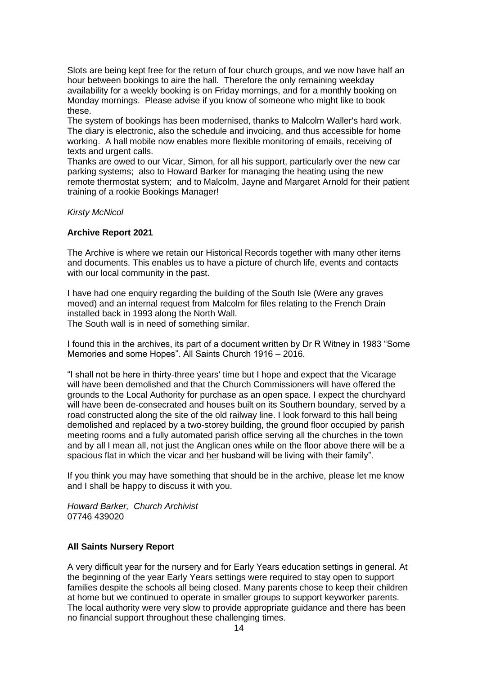Slots are being kept free for the return of four church groups, and we now have half an hour between bookings to aire the hall. Therefore the only remaining weekday availability for a weekly booking is on Friday mornings, and for a monthly booking on Monday mornings. Please advise if you know of someone who might like to book these.

The system of bookings has been modernised, thanks to Malcolm Waller's hard work. The diary is electronic, also the schedule and invoicing, and thus accessible for home working. A hall mobile now enables more flexible monitoring of emails, receiving of texts and urgent calls.

Thanks are owed to our Vicar, Simon, for all his support, particularly over the new car parking systems; also to Howard Barker for managing the heating using the new remote thermostat system; and to Malcolm, Jayne and Margaret Arnold for their patient training of a rookie Bookings Manager!

### *Kirsty McNicol*

### **Archive Report 2021**

The Archive is where we retain our Historical Records together with many other items and documents. This enables us to have a picture of church life, events and contacts with our local community in the past.

I have had one enquiry regarding the building of the South Isle (Were any graves moved) and an internal request from Malcolm for files relating to the French Drain installed back in 1993 along the North Wall.

The South wall is in need of something similar.

I found this in the archives, its part of a document written by Dr R Witney in 1983 "Some Memories and some Hopes". All Saints Church 1916 – 2016.

"I shall not be here in thirty-three years' time but I hope and expect that the Vicarage will have been demolished and that the Church Commissioners will have offered the grounds to the Local Authority for purchase as an open space. I expect the churchyard will have been de-consecrated and houses built on its Southern boundary, served by a road constructed along the site of the old railway line. I look forward to this hall being demolished and replaced by a two-storey building, the ground floor occupied by parish meeting rooms and a fully automated parish office serving all the churches in the town and by all I mean all, not just the Anglican ones while on the floor above there will be a spacious flat in which the vicar and her husband will be living with their family".

If you think you may have something that should be in the archive, please let me know and I shall be happy to discuss it with you.

*Howard Barker, Church Archivist* 07746 439020

## **All Saints Nursery Report**

A very difficult year for the nursery and for Early Years education settings in general. At the beginning of the year Early Years settings were required to stay open to support families despite the schools all being closed. Many parents chose to keep their children at home but we continued to operate in smaller groups to support keyworker parents. The local authority were very slow to provide appropriate guidance and there has been no financial support throughout these challenging times.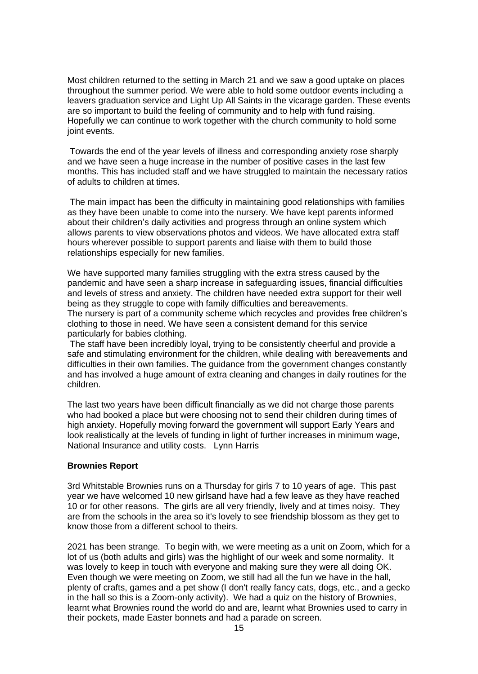Most children returned to the setting in March 21 and we saw a good uptake on places throughout the summer period. We were able to hold some outdoor events including a leavers graduation service and Light Up All Saints in the vicarage garden. These events are so important to build the feeling of community and to help with fund raising. Hopefully we can continue to work together with the church community to hold some joint events.

Towards the end of the year levels of illness and corresponding anxiety rose sharply and we have seen a huge increase in the number of positive cases in the last few months. This has included staff and we have struggled to maintain the necessary ratios of adults to children at times.

The main impact has been the difficulty in maintaining good relationships with families as they have been unable to come into the nursery. We have kept parents informed about their children's daily activities and progress through an online system which allows parents to view observations photos and videos. We have allocated extra staff hours wherever possible to support parents and liaise with them to build those relationships especially for new families.

We have supported many families struggling with the extra stress caused by the pandemic and have seen a sharp increase in safeguarding issues, financial difficulties and levels of stress and anxiety. The children have needed extra support for their well being as they struggle to cope with family difficulties and bereavements.

The nursery is part of a community scheme which recycles and provides free children's clothing to those in need. We have seen a consistent demand for this service particularly for babies clothing.

The staff have been incredibly loyal, trying to be consistently cheerful and provide a safe and stimulating environment for the children, while dealing with bereavements and difficulties in their own families. The guidance from the government changes constantly and has involved a huge amount of extra cleaning and changes in daily routines for the children.

The last two years have been difficult financially as we did not charge those parents who had booked a place but were choosing not to send their children during times of high anxiety. Hopefully moving forward the government will support Early Years and look realistically at the levels of funding in light of further increases in minimum wage, National Insurance and utility costs. Lynn Harris

#### **Brownies Report**

3rd Whitstable Brownies runs on a Thursday for girls 7 to 10 years of age. This past year we have welcomed 10 new girlsand have had a few leave as they have reached 10 or for other reasons. The girls are all very friendly, lively and at times noisy. They are from the schools in the area so it's lovely to see friendship blossom as they get to know those from a different school to theirs.

2021 has been strange. To begin with, we were meeting as a unit on Zoom, which for a lot of us (both adults and girls) was the highlight of our week and some normality. It was lovely to keep in touch with everyone and making sure they were all doing OK. Even though we were meeting on Zoom, we still had all the fun we have in the hall, plenty of crafts, games and a pet show (I don't really fancy cats, dogs, etc., and a gecko in the hall so this is a Zoom-only activity). We had a quiz on the history of Brownies, learnt what Brownies round the world do and are, learnt what Brownies used to carry in their pockets, made Easter bonnets and had a parade on screen.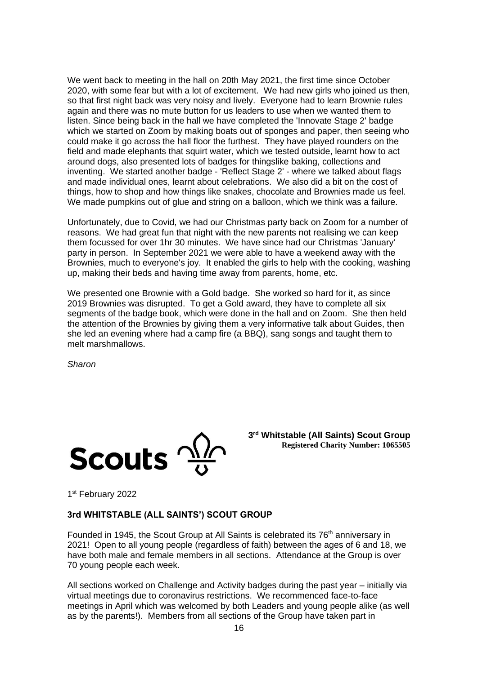We went back to meeting in the hall on 20th May 2021, the first time since October 2020, with some fear but with a lot of excitement. We had new girls who joined us then, so that first night back was very noisy and lively. Everyone had to learn Brownie rules again and there was no mute button for us leaders to use when we wanted them to listen. Since being back in the hall we have completed the 'Innovate Stage 2' badge which we started on Zoom by making boats out of sponges and paper, then seeing who could make it go across the hall floor the furthest. They have played rounders on the field and made elephants that squirt water, which we tested outside, learnt how to act around dogs, also presented lots of badges for thingslike baking, collections and inventing. We started another badge - 'Reflect Stage 2' - where we talked about flags and made individual ones, learnt about celebrations. We also did a bit on the cost of things, how to shop and how things like snakes, chocolate and Brownies made us feel. We made pumpkins out of glue and string on a balloon, which we think was a failure.

Unfortunately, due to Covid, we had our Christmas party back on Zoom for a number of reasons. We had great fun that night with the new parents not realising we can keep them focussed for over 1hr 30 minutes. We have since had our Christmas 'January' party in person. In September 2021 we were able to have a weekend away with the Brownies, much to everyone's joy. It enabled the girls to help with the cooking, washing up, making their beds and having time away from parents, home, etc.

We presented one Brownie with a Gold badge. She worked so hard for it, as since 2019 Brownies was disrupted. To get a Gold award, they have to complete all six segments of the badge book, which were done in the hall and on Zoom. She then held the attention of the Brownies by giving them a very informative talk about Guides, then she led an evening where had a camp fire (a BBQ), sang songs and taught them to melt marshmallows.

*Sharon*



**3 rd Whitstable (All Saints) Scout Group Registered Charity Number: 1065505**

1st February 2022

## **3rd WHITSTABLE (ALL SAINTS') SCOUT GROUP**

Founded in 1945, the Scout Group at All Saints is celebrated its 76<sup>th</sup> anniversary in 2021! Open to all young people (regardless of faith) between the ages of 6 and 18, we have both male and female members in all sections. Attendance at the Group is over 70 young people each week.

All sections worked on Challenge and Activity badges during the past year – initially via virtual meetings due to coronavirus restrictions. We recommenced face-to-face meetings in April which was welcomed by both Leaders and young people alike (as well as by the parents!). Members from all sections of the Group have taken part in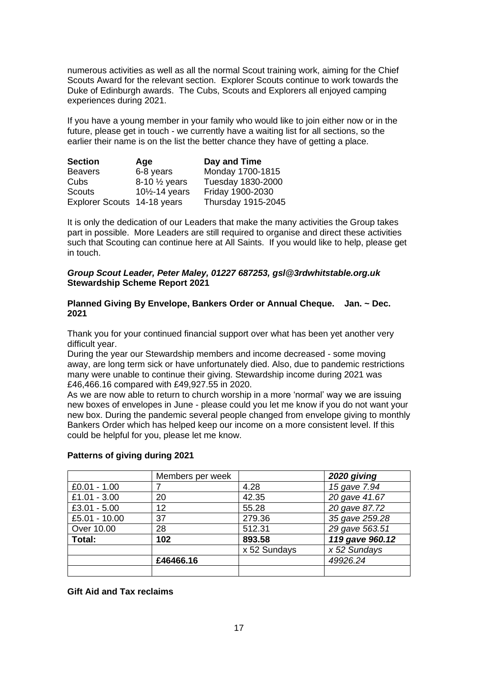numerous activities as well as all the normal Scout training work, aiming for the Chief Scouts Award for the relevant section. Explorer Scouts continue to work towards the Duke of Edinburgh awards. The Cubs, Scouts and Explorers all enjoyed camping experiences during 2021.

If you have a young member in your family who would like to join either now or in the future, please get in touch - we currently have a waiting list for all sections, so the earlier their name is on the list the better chance they have of getting a place.

| <b>Section</b>              | Age                                      | Day and Time       |
|-----------------------------|------------------------------------------|--------------------|
| <b>Beavers</b>              | 6-8 years                                | Monday 1700-1815   |
| Cubs                        | 8-10 $\frac{1}{2}$ years                 | Tuesday 1830-2000  |
| <b>Scouts</b>               | 10 <sup>1</sup> / <sub>2</sub> -14 years | Friday 1900-2030   |
| Explorer Scouts 14-18 years |                                          | Thursday 1915-2045 |

It is only the dedication of our Leaders that make the many activities the Group takes part in possible. More Leaders are still required to organise and direct these activities such that Scouting can continue here at All Saints. If you would like to help, please get in touch.

### *Group Scout Leader, Peter Maley, 01227 687253, gsl@3rdwhitstable.org.uk* **Stewardship Scheme Report 2021**

### **Planned Giving By Envelope, Bankers Order or Annual Cheque. Jan. ~ Dec. 2021**

Thank you for your continued financial support over what has been yet another very difficult year.

During the year our Stewardship members and income decreased - some moving away, are long term sick or have unfortunately died. Also, due to pandemic restrictions many were unable to continue their giving. Stewardship income during 2021 was £46,466.16 compared with £49,927.55 in 2020.

As we are now able to return to church worship in a more 'normal' way we are issuing new boxes of envelopes in June - please could you let me know if you do not want your new box. During the pandemic several people changed from envelope giving to monthly Bankers Order which has helped keep our income on a more consistent level. If this could be helpful for you, please let me know.

|                | Members per week |              | 2020 giving     |  |
|----------------|------------------|--------------|-----------------|--|
| $£0.01 - 1.00$ |                  | 4.28         | 15 gave 7.94    |  |
| £1.01 - 3.00   | 20               | 42.35        | 20 gave 41.67   |  |
| $£3.01 - 5.00$ | 12               | 55.28        | 20 gave 87.72   |  |
| £5.01 - 10.00  | 37               | 279.36       | 35 gave 259.28  |  |
| Over 10.00     | 28               | 512.31       | 29 gave 563.51  |  |
| Total:<br>102  |                  | 893.58       | 119 gave 960.12 |  |
|                |                  | x 52 Sundays | x 52 Sundays    |  |
|                | £46466.16        |              | 49926.24        |  |
|                |                  |              |                 |  |

## **Patterns of giving during 2021**

**Gift Aid and Tax reclaims**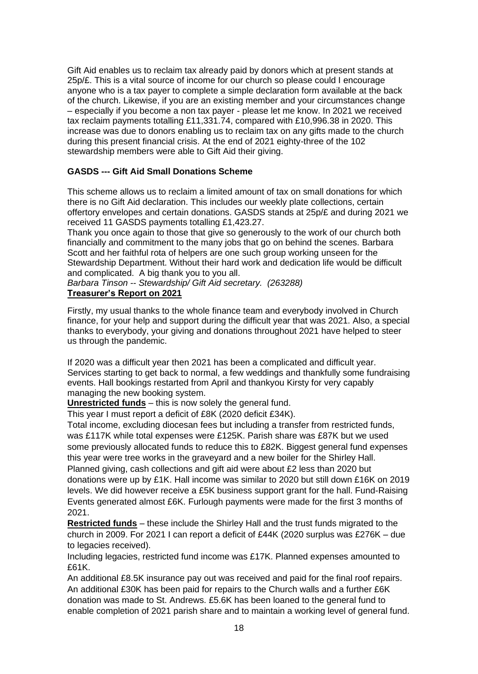Gift Aid enables us to reclaim tax already paid by donors which at present stands at  $25p/E$ . This is a vital source of income for our church so please could I encourage anyone who is a tax payer to complete a simple declaration form available at the back of the church. Likewise, if you are an existing member and your circumstances change – especially if you become a non tax payer - please let me know. In 2021 we received tax reclaim payments totalling £11,331.74, compared with £10,996.38 in 2020. This increase was due to donors enabling us to reclaim tax on any gifts made to the church during this present financial crisis. At the end of 2021 eighty-three of the 102 stewardship members were able to Gift Aid their giving.

## **GASDS --- Gift Aid Small Donations Scheme**

This scheme allows us to reclaim a limited amount of tax on small donations for which there is no Gift Aid declaration. This includes our weekly plate collections, certain offertory envelopes and certain donations. GASDS stands at 25p/£ and during 2021 we received 11 GASDS payments totalling £1,423.27.

Thank you once again to those that give so generously to the work of our church both financially and commitment to the many jobs that go on behind the scenes. Barbara Scott and her faithful rota of helpers are one such group working unseen for the Stewardship Department. Without their hard work and dedication life would be difficult and complicated. A big thank you to you all.

*Barbara Tinson -- Stewardship/ Gift Aid secretary. (263288)*  **Treasurer's Report on 2021**

Firstly, my usual thanks to the whole finance team and everybody involved in Church finance, for your help and support during the difficult year that was 2021. Also, a special thanks to everybody, your giving and donations throughout 2021 have helped to steer us through the pandemic.

If 2020 was a difficult year then 2021 has been a complicated and difficult year. Services starting to get back to normal, a few weddings and thankfully some fundraising events. Hall bookings restarted from April and thankyou Kirsty for very capably managing the new booking system.

**Unrestricted funds** – this is now solely the general fund.

This year I must report a deficit of £8K (2020 deficit £34K).

Total income, excluding diocesan fees but including a transfer from restricted funds, was £117K while total expenses were £125K. Parish share was £87K but we used some previously allocated funds to reduce this to £82K. Biggest general fund expenses this year were tree works in the graveyard and a new boiler for the Shirley Hall.

Planned giving, cash collections and gift aid were about £2 less than 2020 but donations were up by £1K. Hall income was similar to 2020 but still down £16K on 2019 levels. We did however receive a £5K business support grant for the hall. Fund-Raising Events generated almost £6K. Furlough payments were made for the first 3 months of 2021.

**Restricted funds** – these include the Shirley Hall and the trust funds migrated to the church in 2009. For 2021 I can report a deficit of £44K (2020 surplus was £276K – due to legacies received).

Including legacies, restricted fund income was £17K. Planned expenses amounted to £61K.

An additional £8.5K insurance pay out was received and paid for the final roof repairs. An additional £30K has been paid for repairs to the Church walls and a further £6K donation was made to St. Andrews. £5.6K has been loaned to the general fund to enable completion of 2021 parish share and to maintain a working level of general fund.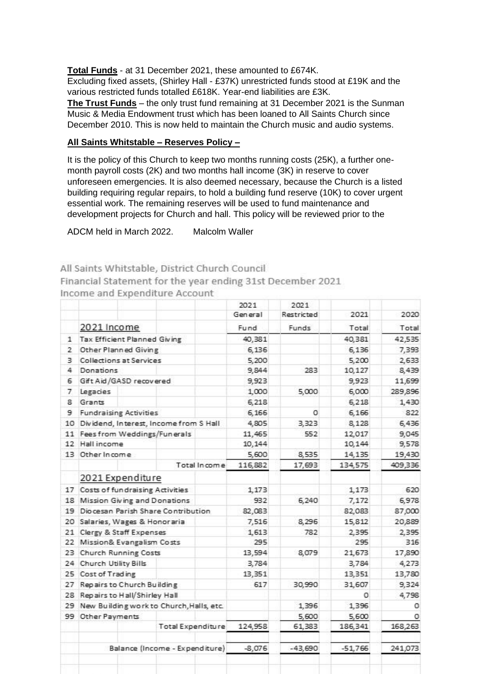**Total Funds** - at 31 December 2021, these amounted to £674K. Excluding fixed assets, (Shirley Hall - £37K) unrestricted funds stood at £19K and the various restricted funds totalled £618K. Year-end liabilities are £3K.

**The Trust Funds** – the only trust fund remaining at 31 December 2021 is the Sunman Music & Media Endowment trust which has been loaned to All Saints Church since December 2010. This is now held to maintain the Church music and audio systems.

### **All Saints Whitstable – Reserves Policy –**

It is the policy of this Church to keep two months running costs (25K), a further onemonth payroll costs (2K) and two months hall income (3K) in reserve to cover unforeseen emergencies. It is also deemed necessary, because the Church is a listed building requiring regular repairs, to hold a building fund reserve (10K) to cover urgent essential work. The remaining reserves will be used to fund maintenance and development projects for Church and hall. This policy will be reviewed prior to the

ADCM held in March 2022. Malcolm Waller

All Saints Whitstable, District Church Council

Financial Statement for the year ending 31st December 2021

|    |                                          |                          |              | 2021      | 2021       |         |         |
|----|------------------------------------------|--------------------------|--------------|-----------|------------|---------|---------|
|    |                                          |                          |              | General   | Restricted | 2021    | 2020    |
|    | 2021 Income                              |                          |              | Fund      | Funds      | Total   | Total   |
| 1  | <b>Tax Efficient Planned Giving</b>      |                          |              | 40,381    |            | 40,381  | 42,535  |
| 2  | Other Planned Giving                     |                          |              | 6,136     |            | 6,136   | 7,393   |
| 3  | <b>Collections at Services</b>           |                          |              | 5,200     |            | 5,200   | 2,633   |
| 4  | Donations                                |                          |              | 9,844     | 283        | 10,127  | 8,439   |
| 6  | Gift Aid/GASD recovered                  |                          |              | 9,923     |            | 9,923   | 11,699  |
| 7  | Legacies                                 |                          |              | 1,000     | 5,000      | 6,000   | 289,896 |
| 8  | Grants                                   |                          |              | 6,218     |            | 6,218   | 1,430   |
| 9  | <b>Fundraising Activities</b>            |                          |              | 6,166     | 0          | 6,166   | 822     |
| 10 | Dividend, Interest, Income from S Hall   |                          | 4,805        | 3,323     | 8,128      | 6,436   |         |
| 11 | Fees from Weddings/Funerals              |                          |              | 11,465    | 552        | 12,017  | 9,045   |
| 12 | Hall income                              |                          |              | 10,144    |            | 10,144  | 9,578   |
|    | 13 Other Income                          |                          |              | 5,600     | 8,535      | 14,135  | 19,430  |
|    |                                          |                          | Total Income | 116,882   | 17,693     | 134,575 | 409,336 |
|    | 2021 Expenditure                         |                          |              |           |            |         |         |
| 17 | Costs of fundraising Activities          |                          | 1,173        |           | 1,173      | 620     |         |
| 18 | Mission Giving and Donations             |                          | 932          | 6,240     | 7,172      | 6,978   |         |
| 19 | Diocesan Parish Share Contribution       |                          |              | 82,083    |            | 82,083  | 87,000  |
| 20 | Salaries, Wages & Honoraria              |                          |              | 7,516     | 8,296      | 15,812  | 20,889  |
| 21 | Clergy & Staff Expenses                  |                          |              | 1,613     | 782        | 2,395   | 2,395   |
| 22 | Mission& Evangalism Costs                |                          | 295          |           | 295        | 316     |         |
| 23 | <b>Church Running Costs</b>              |                          |              | 13,594    | 8,079      | 21,673  | 17,890  |
| 24 | Church Utility Bills                     |                          |              | 3,784     |            | 3,784   | 4,273   |
| 25 | Cost of Trading                          |                          |              | 13,351    |            | 13,351  | 13,780  |
| 27 | Repairs to Church Building               |                          |              | 617       | 30,990     | 31,607  | 9,324   |
| 28 | Repairs to Hall/Shirley Hall             |                          |              |           | 0          | 4,798   |         |
| 29 | New Building work to Church, Halls, etc. |                          |              |           | 1,396      | 1,396   | 0       |
|    | 99 Other Payments                        |                          |              |           | 5,600      | 5,600   | 0       |
|    |                                          | <b>Total Expenditure</b> |              | 124,958   | 61,383     | 186,341 | 168,263 |
|    |                                          |                          |              |           |            |         |         |
|    | Balance (Income - Expenditure)           |                          | $-8,076$     | $-43,690$ | $-51,766$  | 241,073 |         |

Income and Expenditure Account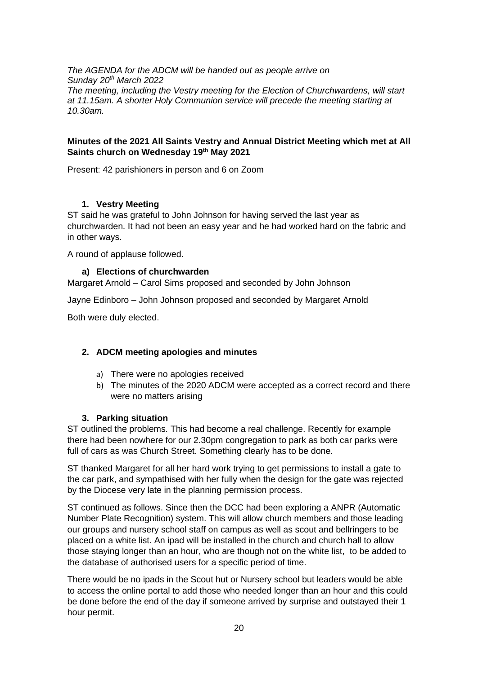*The AGENDA for the ADCM will be handed out as people arrive on Sunday 20th March 2022 The meeting, including the Vestry meeting for the Election of Churchwardens, will start at 11.15am. A shorter Holy Communion service will precede the meeting starting at 10.30am.* 

## **Minutes of the 2021 All Saints Vestry and Annual District Meeting which met at All Saints church on Wednesday 19th May 2021**

Present: 42 parishioners in person and 6 on Zoom

# **1. Vestry Meeting**

ST said he was grateful to John Johnson for having served the last year as churchwarden. It had not been an easy year and he had worked hard on the fabric and in other ways.

A round of applause followed.

## **a) Elections of churchwarden**

Margaret Arnold – Carol Sims proposed and seconded by John Johnson

Jayne Edinboro – John Johnson proposed and seconded by Margaret Arnold

Both were duly elected.

## **2. ADCM meeting apologies and minutes**

- a) There were no apologies received
- b) The minutes of the 2020 ADCM were accepted as a correct record and there were no matters arising

## **3. Parking situation**

ST outlined the problems. This had become a real challenge. Recently for example there had been nowhere for our 2.30pm congregation to park as both car parks were full of cars as was Church Street. Something clearly has to be done.

ST thanked Margaret for all her hard work trying to get permissions to install a gate to the car park, and sympathised with her fully when the design for the gate was rejected by the Diocese very late in the planning permission process.

ST continued as follows. Since then the DCC had been exploring a ANPR (Automatic Number Plate Recognition) system. This will allow church members and those leading our groups and nursery school staff on campus as well as scout and bellringers to be placed on a white list. An ipad will be installed in the church and church hall to allow those staying longer than an hour, who are though not on the white list, to be added to the database of authorised users for a specific period of time.

There would be no ipads in the Scout hut or Nursery school but leaders would be able to access the online portal to add those who needed longer than an hour and this could be done before the end of the day if someone arrived by surprise and outstayed their 1 hour permit.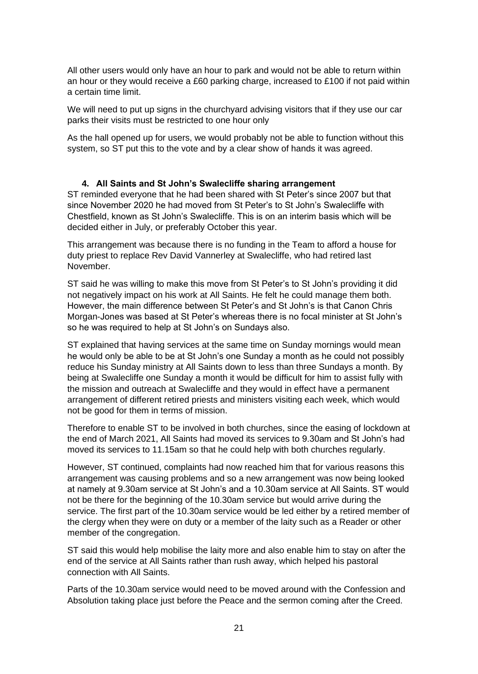All other users would only have an hour to park and would not be able to return within an hour or they would receive a £60 parking charge, increased to £100 if not paid within a certain time limit.

We will need to put up signs in the churchyard advising visitors that if they use our car parks their visits must be restricted to one hour only

As the hall opened up for users, we would probably not be able to function without this system, so ST put this to the vote and by a clear show of hands it was agreed.

## **4. All Saints and St John's Swalecliffe sharing arrangement**

ST reminded everyone that he had been shared with St Peter's since 2007 but that since November 2020 he had moved from St Peter's to St John's Swalecliffe with Chestfield, known as St John's Swalecliffe. This is on an interim basis which will be decided either in July, or preferably October this year.

This arrangement was because there is no funding in the Team to afford a house for duty priest to replace Rev David Vannerley at Swalecliffe, who had retired last November.

ST said he was willing to make this move from St Peter's to St John's providing it did not negatively impact on his work at All Saints. He felt he could manage them both. However, the main difference between St Peter's and St John's is that Canon Chris Morgan-Jones was based at St Peter's whereas there is no focal minister at St John's so he was required to help at St John's on Sundays also.

ST explained that having services at the same time on Sunday mornings would mean he would only be able to be at St John's one Sunday a month as he could not possibly reduce his Sunday ministry at All Saints down to less than three Sundays a month. By being at Swalecliffe one Sunday a month it would be difficult for him to assist fully with the mission and outreach at Swalecliffe and they would in effect have a permanent arrangement of different retired priests and ministers visiting each week, which would not be good for them in terms of mission.

Therefore to enable ST to be involved in both churches, since the easing of lockdown at the end of March 2021, All Saints had moved its services to 9.30am and St John's had moved its services to 11.15am so that he could help with both churches regularly.

However, ST continued, complaints had now reached him that for various reasons this arrangement was causing problems and so a new arrangement was now being looked at namely at 9.30am service at St John's and a 10.30am service at All Saints. ST would not be there for the beginning of the 10.30am service but would arrive during the service. The first part of the 10.30am service would be led either by a retired member of the clergy when they were on duty or a member of the laity such as a Reader or other member of the congregation.

ST said this would help mobilise the laity more and also enable him to stay on after the end of the service at All Saints rather than rush away, which helped his pastoral connection with All Saints.

Parts of the 10.30am service would need to be moved around with the Confession and Absolution taking place just before the Peace and the sermon coming after the Creed.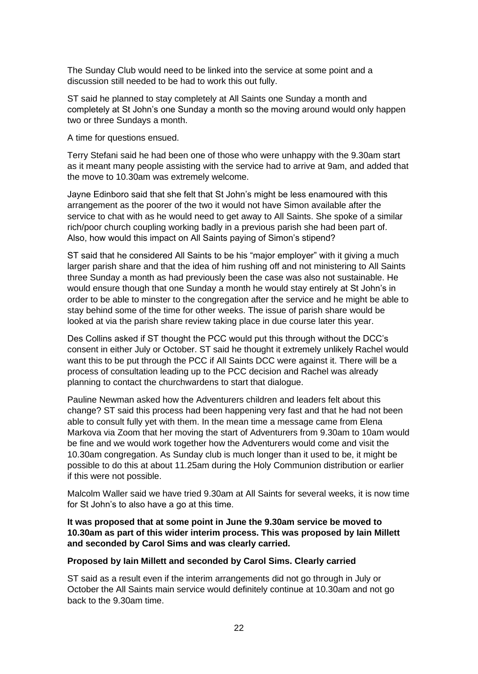The Sunday Club would need to be linked into the service at some point and a discussion still needed to be had to work this out fully.

ST said he planned to stay completely at All Saints one Sunday a month and completely at St John's one Sunday a month so the moving around would only happen two or three Sundays a month.

A time for questions ensued.

Terry Stefani said he had been one of those who were unhappy with the 9.30am start as it meant many people assisting with the service had to arrive at 9am, and added that the move to 10.30am was extremely welcome.

Jayne Edinboro said that she felt that St John's might be less enamoured with this arrangement as the poorer of the two it would not have Simon available after the service to chat with as he would need to get away to All Saints. She spoke of a similar rich/poor church coupling working badly in a previous parish she had been part of. Also, how would this impact on All Saints paying of Simon's stipend?

ST said that he considered All Saints to be his "major employer" with it giving a much larger parish share and that the idea of him rushing off and not ministering to All Saints three Sunday a month as had previously been the case was also not sustainable. He would ensure though that one Sunday a month he would stay entirely at St John's in order to be able to minster to the congregation after the service and he might be able to stay behind some of the time for other weeks. The issue of parish share would be looked at via the parish share review taking place in due course later this year.

Des Collins asked if ST thought the PCC would put this through without the DCC's consent in either July or October. ST said he thought it extremely unlikely Rachel would want this to be put through the PCC if All Saints DCC were against it. There will be a process of consultation leading up to the PCC decision and Rachel was already planning to contact the churchwardens to start that dialogue.

Pauline Newman asked how the Adventurers children and leaders felt about this change? ST said this process had been happening very fast and that he had not been able to consult fully yet with them. In the mean time a message came from Elena Markova via Zoom that her moving the start of Adventurers from 9.30am to 10am would be fine and we would work together how the Adventurers would come and visit the 10.30am congregation. As Sunday club is much longer than it used to be, it might be possible to do this at about 11.25am during the Holy Communion distribution or earlier if this were not possible.

Malcolm Waller said we have tried 9.30am at All Saints for several weeks, it is now time for St John's to also have a go at this time.

**It was proposed that at some point in June the 9.30am service be moved to 10.30am as part of this wider interim process. This was proposed by Iain Millett and seconded by Carol Sims and was clearly carried.** 

## **Proposed by Iain Millett and seconded by Carol Sims. Clearly carried**

ST said as a result even if the interim arrangements did not go through in July or October the All Saints main service would definitely continue at 10.30am and not go back to the 9.30am time.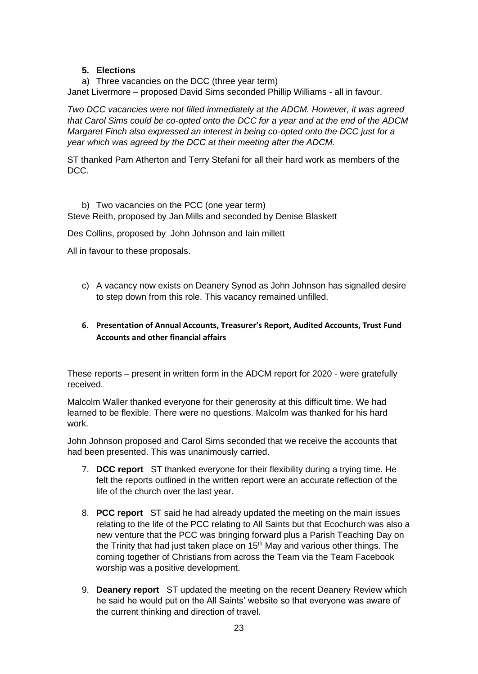# **5. Elections**

a) Three vacancies on the DCC (three year term) Janet Livermore – proposed David Sims seconded Phillip Williams - all in favour.

*Two DCC vacancies were not filled immediately at the ADCM. However, it was agreed that Carol Sims could be co-opted onto the DCC for a year and at the end of the ADCM Margaret Finch also expressed an interest in being co-opted onto the DCC just for a year which was agreed by the DCC at their meeting after the ADCM.*

ST thanked Pam Atherton and Terry Stefani for all their hard work as members of the DCC.

b) Two vacancies on the PCC (one year term) Steve Reith, proposed by Jan Mills and seconded by Denise Blaskett

Des Collins, proposed by John Johnson and Iain millett

All in favour to these proposals.

c) A vacancy now exists on Deanery Synod as John Johnson has signalled desire to step down from this role. This vacancy remained unfilled.

# **6. Presentation of Annual Accounts, Treasurer's Report, Audited Accounts, Trust Fund Accounts and other financial affairs**

These reports – present in written form in the ADCM report for 2020 - were gratefully received.

Malcolm Waller thanked everyone for their generosity at this difficult time. We had learned to be flexible. There were no questions. Malcolm was thanked for his hard work.

John Johnson proposed and Carol Sims seconded that we receive the accounts that had been presented. This was unanimously carried.

- 7. **DCC report** ST thanked everyone for their flexibility during a trying time. He felt the reports outlined in the written report were an accurate reflection of the life of the church over the last year.
- 8. **PCC report** ST said he had already updated the meeting on the main issues relating to the life of the PCC relating to All Saints but that Ecochurch was also a new venture that the PCC was bringing forward plus a Parish Teaching Day on the Trinity that had just taken place on  $15<sup>th</sup>$  May and various other things. The coming together of Christians from across the Team via the Team Facebook worship was a positive development.
- 9. **Deanery report** ST updated the meeting on the recent Deanery Review which he said he would put on the All Saints' website so that everyone was aware of the current thinking and direction of travel.